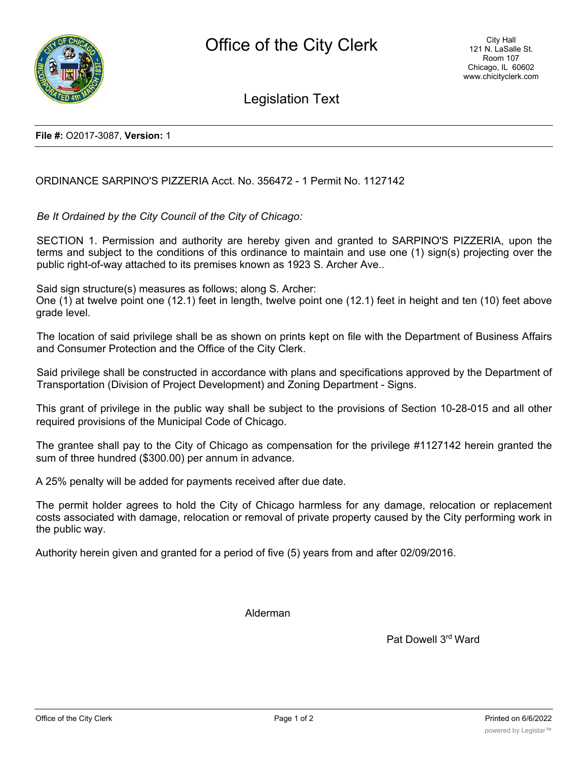

Legislation Text

**File #:** O2017-3087, **Version:** 1

## ORDINANCE SARPINO'S PIZZERIA Acct. No. 356472 - 1 Permit No. 1127142

*Be It Ordained by the City Council of the City of Chicago:*

SECTION 1. Permission and authority are hereby given and granted to SARPINO'S PIZZERIA, upon the terms and subject to the conditions of this ordinance to maintain and use one (1) sign(s) projecting over the public right-of-way attached to its premises known as 1923 S. Archer Ave..

Said sign structure(s) measures as follows; along S. Archer:

One (1) at twelve point one (12.1) feet in length, twelve point one (12.1) feet in height and ten (10) feet above grade level.

The location of said privilege shall be as shown on prints kept on file with the Department of Business Affairs and Consumer Protection and the Office of the City Clerk.

Said privilege shall be constructed in accordance with plans and specifications approved by the Department of Transportation (Division of Project Development) and Zoning Department - Signs.

This grant of privilege in the public way shall be subject to the provisions of Section 10-28-015 and all other required provisions of the Municipal Code of Chicago.

The grantee shall pay to the City of Chicago as compensation for the privilege #1127142 herein granted the sum of three hundred (\$300.00) per annum in advance.

A 25% penalty will be added for payments received after due date.

The permit holder agrees to hold the City of Chicago harmless for any damage, relocation or replacement costs associated with damage, relocation or removal of private property caused by the City performing work in the public way.

Authority herein given and granted for a period of five (5) years from and after 02/09/2016.

Alderman

Pat Dowell 3rd Ward